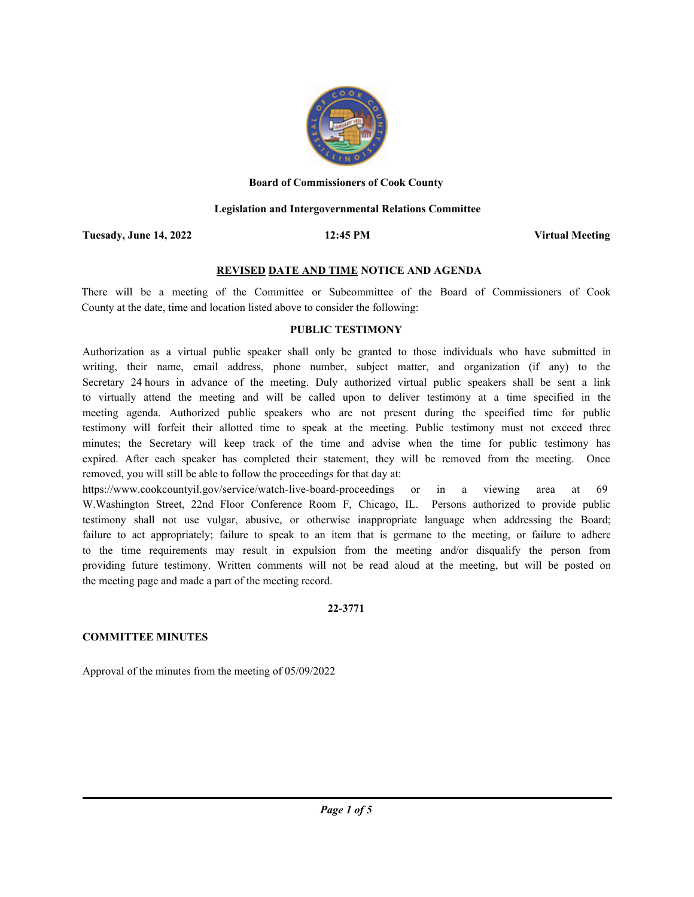

#### **Board of Commissioners of Cook County**

### **Legislation and Intergovernmental Relations Committee**

**Tuesady, June 14, 2022 12:45 PM**

**Virtual Meeting**

## **REVISED DATE AND TIME NOTICE AND AGENDA**

There will be a meeting of the Committee or Subcommittee of the Board of Commissioners of Cook County at the date, time and location listed above to consider the following:

### **PUBLIC TESTIMONY**

Authorization as a virtual public speaker shall only be granted to those individuals who have submitted in writing, their name, email address, phone number, subject matter, and organization (if any) to the Secretary 24 hours in advance of the meeting. Duly authorized virtual public speakers shall be sent a link to virtually attend the meeting and will be called upon to deliver testimony at a time specified in the meeting agenda. Authorized public speakers who are not present during the specified time for public testimony will forfeit their allotted time to speak at the meeting. Public testimony must not exceed three minutes; the Secretary will keep track of the time and advise when the time for public testimony has expired. After each speaker has completed their statement, they will be removed from the meeting. Once removed, you will still be able to follow the proceedings for that day at:

https://www.cookcountyil.gov/service/watch-live-board-proceedings or in a viewing area at 69 W.Washington Street, 22nd Floor Conference Room F, Chicago, IL. Persons authorized to provide public testimony shall not use vulgar, abusive, or otherwise inappropriate language when addressing the Board; failure to act appropriately; failure to speak to an item that is germane to the meeting, or failure to adhere to the time requirements may result in expulsion from the meeting and/or disqualify the person from providing future testimony. Written comments will not be read aloud at the meeting, but will be posted on the meeting page and made a part of the meeting record.

## **22-3771**

## **COMMITTEE MINUTES**

Approval of the minutes from the meeting of 05/09/2022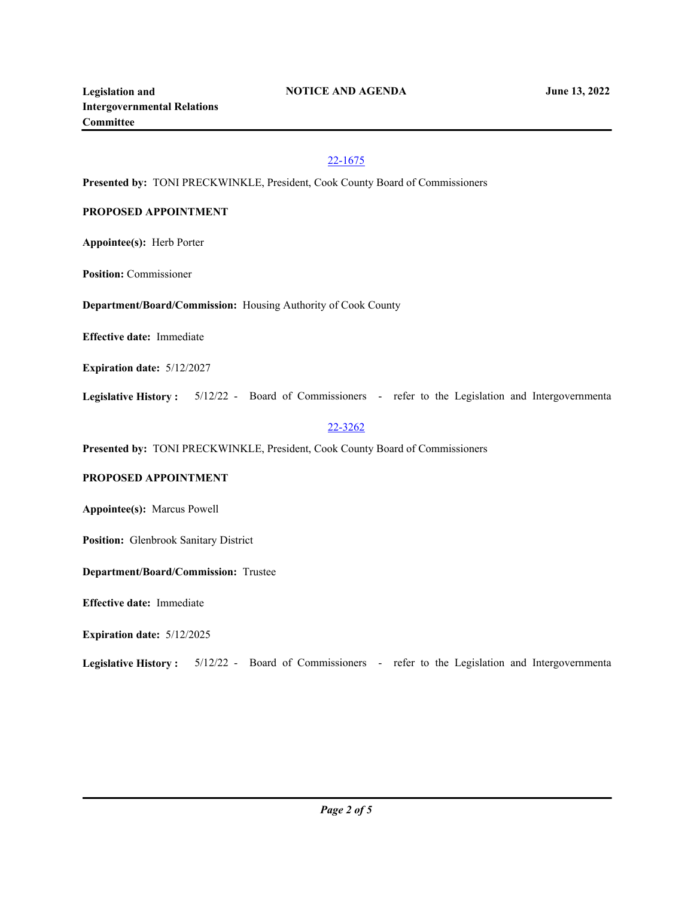# 22-1675

**Presented by:** TONI PRECKWINKLE, President, Cook County Board of Commissioners

# **PROPOSED APPOINTMENT**

**Appointee(s):** Herb Porter

**Position:** Commissioner

**Department/Board/Commission:** Housing Authority of Cook County

**Effective date:** Immediate

**Expiration date:** 5/12/2027

**Legislative History :** 5/12/22 - Board of Commissioners - refer to the Legislation and Intergovernmenta

## 22-3262

**Presented by:** TONI PRECKWINKLE, President, Cook County Board of Commissioners

## **PROPOSED APPOINTMENT**

**Appointee(s):** Marcus Powell

**Position:** Glenbrook Sanitary District

**Department/Board/Commission:** Trustee

**Effective date:** Immediate

**Expiration date:** 5/12/2025

**Legislative History :** 5/12/22 - Board of Commissioners - refer to the Legislation and Intergovernmenta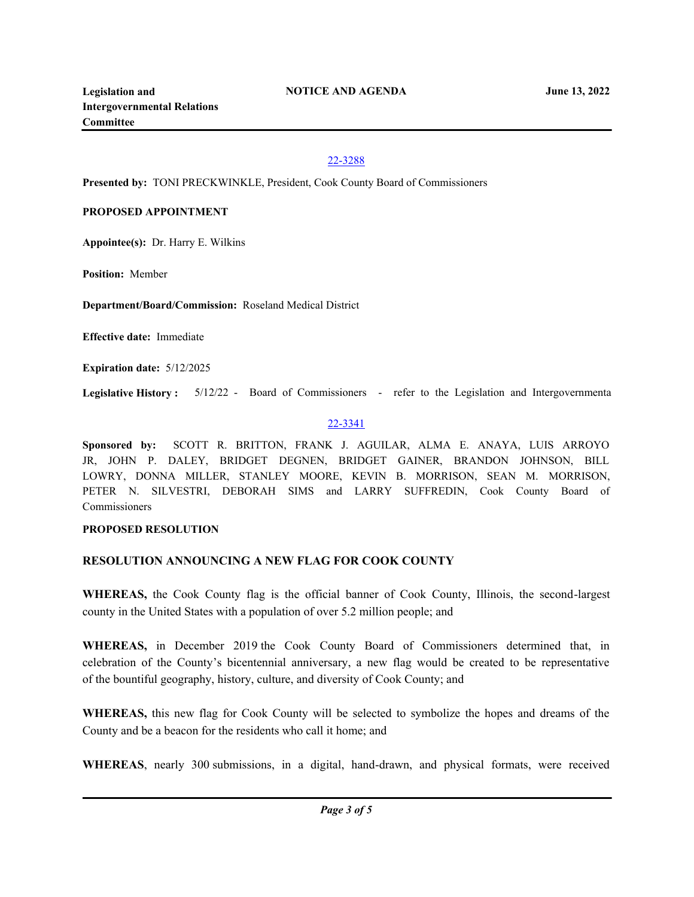# 22-3288

**Presented by:** TONI PRECKWINKLE, President, Cook County Board of Commissioners

## **PROPOSED APPOINTMENT**

**Appointee(s):** Dr. Harry E. Wilkins

**Position:** Member

**Department/Board/Commission:** Roseland Medical District

**Effective date:** Immediate

**Expiration date:** 5/12/2025

**Legislative History :** 5/12/22 - Board of Commissioners - refer to the Legislation and Intergovernmenta

## 22-3341

**Sponsored by:** SCOTT R. BRITTON, FRANK J. AGUILAR, ALMA E. ANAYA, LUIS ARROYO JR, JOHN P. DALEY, BRIDGET DEGNEN, BRIDGET GAINER, BRANDON JOHNSON, BILL LOWRY, DONNA MILLER, STANLEY MOORE, KEVIN B. MORRISON, SEAN M. MORRISON, PETER N. SILVESTRI, DEBORAH SIMS and LARRY SUFFREDIN, Cook County Board of Commissioners

## **PROPOSED RESOLUTION**

# **RESOLUTION ANNOUNCING A NEW FLAG FOR COOK COUNTY**

**WHEREAS,** the Cook County flag is the official banner of Cook County, Illinois, the second-largest county in the United States with a population of over 5.2 million people; and

**WHEREAS,** in December 2019 the Cook County Board of Commissioners determined that, in celebration of the County's bicentennial anniversary, a new flag would be created to be representative of the bountiful geography, history, culture, and diversity of Cook County; and

**WHEREAS,** this new flag for Cook County will be selected to symbolize the hopes and dreams of the County and be a beacon for the residents who call it home; and

**WHEREAS**, nearly 300 submissions, in a digital, hand-drawn, and physical formats, were received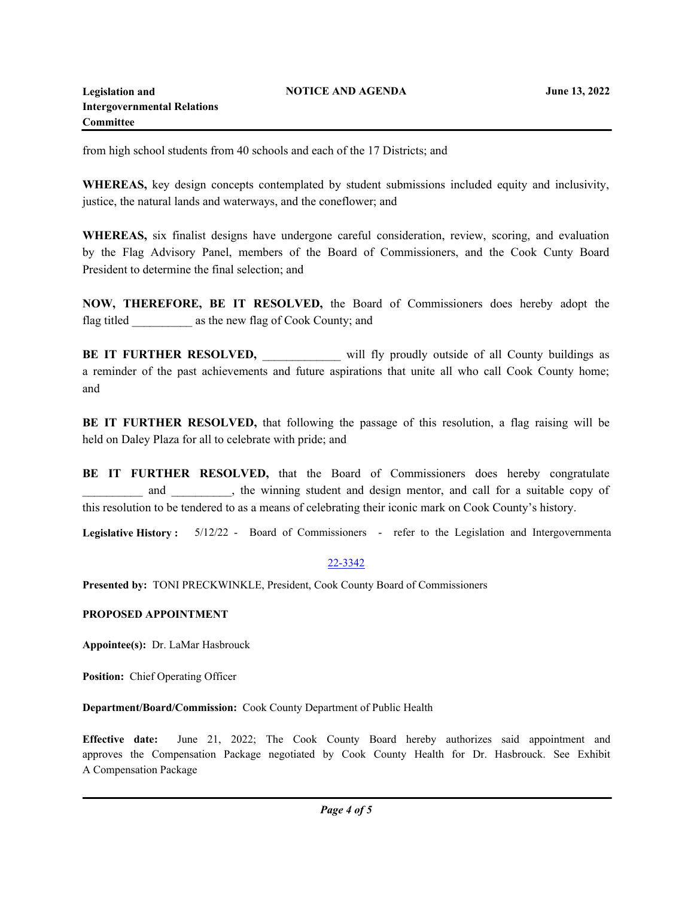from high school students from 40 schools and each of the 17 Districts; and

**WHEREAS,** key design concepts contemplated by student submissions included equity and inclusivity, justice, the natural lands and waterways, and the coneflower; and

**WHEREAS,** six finalist designs have undergone careful consideration, review, scoring, and evaluation by the Flag Advisory Panel, members of the Board of Commissioners, and the Cook Cunty Board President to determine the final selection; and

**NOW, THEREFORE, BE IT RESOLVED,** the Board of Commissioners does hereby adopt the flag titled \_\_\_\_\_\_\_\_\_\_ as the new flag of Cook County; and

**BE IT FURTHER RESOLVED,** will fly proudly outside of all County buildings as a reminder of the past achievements and future aspirations that unite all who call Cook County home; and

**BE IT FURTHER RESOLVED,** that following the passage of this resolution, a flag raising will be held on Daley Plaza for all to celebrate with pride; and

**BE IT FURTHER RESOLVED,** that the Board of Commissioners does hereby congratulate and  $\blacksquare$ , the winning student and design mentor, and call for a suitable copy of this resolution to be tendered to as a means of celebrating their iconic mark on Cook County's history.

**Legislative History :** 5/12/22 - Board of Commissioners - refer to the Legislation and Intergovernmenta

# 22-3342

**Presented by:** TONI PRECKWINKLE, President, Cook County Board of Commissioners

## **PROPOSED APPOINTMENT**

**Appointee(s):** Dr. LaMar Hasbrouck

**Position:** Chief Operating Officer

**Department/Board/Commission:** Cook County Department of Public Health

**Effective date:** June 21, 2022; The Cook County Board hereby authorizes said appointment and approves the Compensation Package negotiated by Cook County Health for Dr. Hasbrouck. See Exhibit A Compensation Package